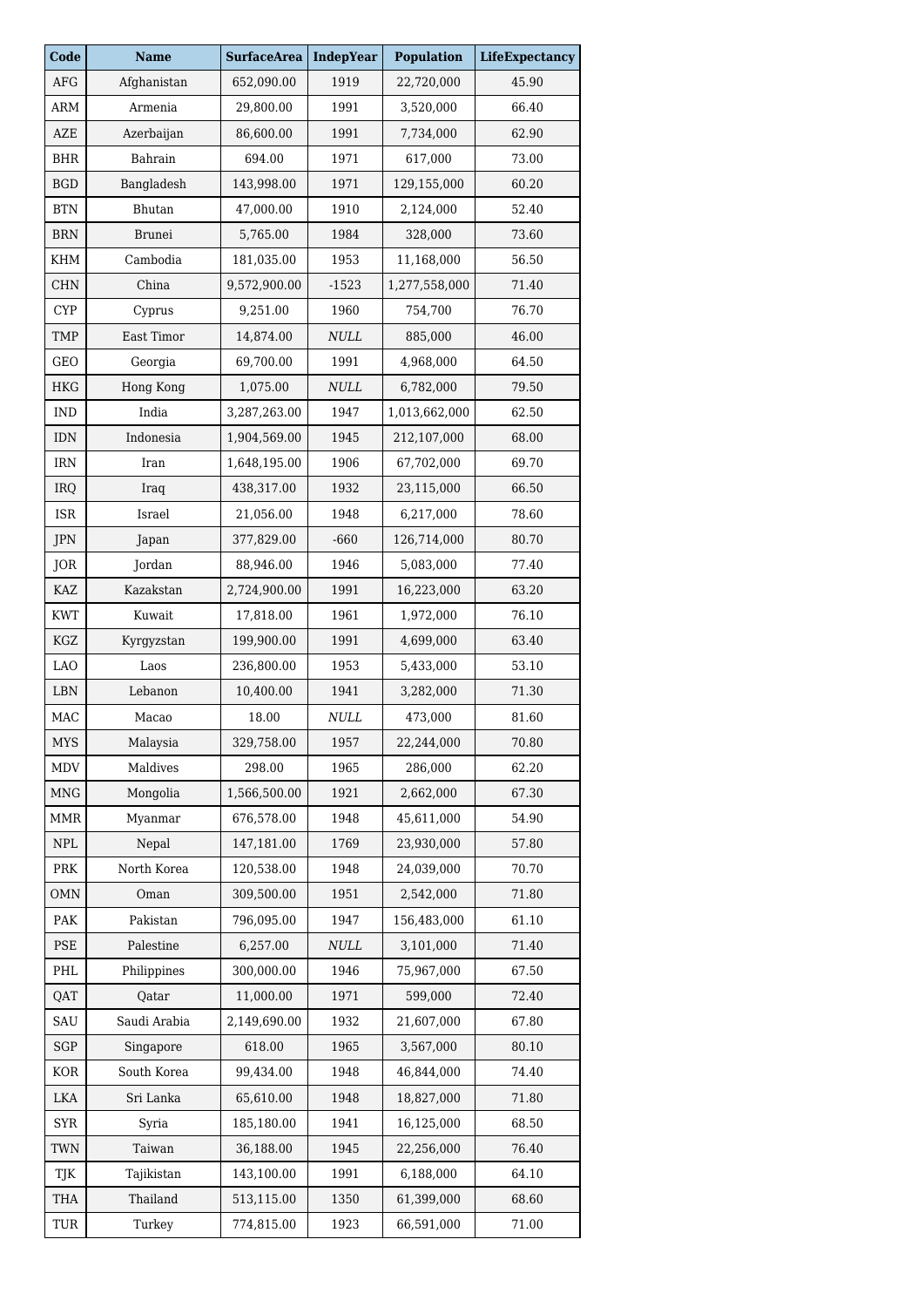| Code                        | <b>Name</b>   | <b>SurfaceArea</b> | <b>IndepYear</b> | <b>Population</b> | <b>LifeExpectancy</b> |
|-----------------------------|---------------|--------------------|------------------|-------------------|-----------------------|
| AFG                         | Afghanistan   | 652,090.00         | 1919             | 22,720,000        | 45.90                 |
| ARM                         | Armenia       | 29,800.00          | 1991             | 3,520,000         | 66.40                 |
| AZE                         | Azerbaijan    | 86,600.00          | 1991             | 7,734,000         | 62.90                 |
| <b>BHR</b>                  | Bahrain       | 694.00             | 1971             | 617,000           | 73.00                 |
| <b>BGD</b>                  | Bangladesh    | 143,998.00         | 1971             | 129,155,000       | 60.20                 |
| <b>BTN</b>                  | <b>Bhutan</b> | 47,000.00          | 1910             | 2,124,000         | 52.40                 |
| <b>BRN</b>                  | <b>Brunei</b> | 5,765.00           | 1984             | 328,000           | 73.60                 |
| KHM                         | Cambodia      | 181,035.00         | 1953             | 11,168,000        | 56.50                 |
| <b>CHN</b>                  | China         | 9,572,900.00       | $-1523$          | 1,277,558,000     | 71.40                 |
| <b>CYP</b>                  | Cyprus        | 9,251.00           | 1960             | 754,700           | 76.70                 |
| <b>TMP</b>                  | East Timor    | 14,874.00          | $\it NULL$       | 885,000           | 46.00                 |
| GEO                         | Georgia       | 69,700.00          | 1991             | 4,968,000         | 64.50                 |
| <b>HKG</b>                  | Hong Kong     | 1,075.00           | <b>NULL</b>      | 6,782,000         | 79.50                 |
| <b>IND</b>                  | India         | 3,287,263.00       | 1947             | 1,013,662,000     | 62.50                 |
| <b>IDN</b>                  | Indonesia     | 1,904,569.00       | 1945             | 212,107,000       | 68.00                 |
| IRN                         | Iran          | 1,648,195.00       | 1906             | 67,702,000        | 69.70                 |
| IRQ                         | Iraq          | 438,317.00         | 1932             | 23,115,000        | 66.50                 |
| ISR                         | Israel        | 21,056.00          | 1948             | 6,217,000         | 78.60                 |
| JPN                         | Japan         | 377,829.00         | $-660$           | 126,714,000       | 80.70                 |
| JOR                         | Jordan        | 88,946.00          | 1946             | 5,083,000         | 77.40                 |
| <b>KAZ</b>                  | Kazakstan     | 2,724,900.00       | 1991             | 16,223,000        | 63.20                 |
| <b>KWT</b>                  | Kuwait        | 17,818.00          | 1961             | 1,972,000         | 76.10                 |
| KGZ                         | Kyrgyzstan    | 199,900.00         | 1991             | 4,699,000         | 63.40                 |
| <b>LAO</b>                  | Laos          | 236,800.00         | 1953             | 5,433,000         | 53.10                 |
| <b>LBN</b>                  | Lebanon       | 10,400.00          | 1941             | 3,282,000         | 71.30                 |
| MAC                         | Macao         | 18.00              | $\it NULL$       | 473,000           | 81.60                 |
| MYS                         | Malaysia      | 329,758.00         | 1957             | 22,244,000        | 70.80                 |
| MDV                         | Maldives      | 298.00             | 1965             | 286,000           | 62.20                 |
| $\ensuremath{\mathsf{MNG}}$ | Mongolia      | 1,566,500.00       | 1921             | 2,662,000         | 67.30                 |
| <b>MMR</b>                  | Myanmar       | 676,578.00         | 1948             | 45,611,000        | 54.90                 |
| <b>NPL</b>                  | Nepal         | 147,181.00         | 1769             | 23,930,000        | 57.80                 |
| PRK                         | North Korea   | 120,538.00         | 1948             | 24,039,000        | 70.70                 |
| <b>OMN</b>                  | Oman          | 309,500.00         | 1951             | 2,542,000         | 71.80                 |
| PAK                         | Pakistan      | 796,095.00         | 1947             | 156,483,000       | 61.10                 |
| PSE                         | Palestine     | 6,257.00           | <b>NULL</b>      | 3,101,000         | 71.40                 |
| PHL                         | Philippines   | 300,000.00         | 1946             | 75,967,000        | 67.50                 |
| QAT                         | Qatar         | 11,000.00          | 1971             | 599,000           | 72.40                 |
| SAU                         | Saudi Arabia  | 2,149,690.00       | 1932             | 21,607,000        | 67.80                 |
| SGP                         | Singapore     | 618.00             | 1965             | 3,567,000         | 80.10                 |
| KOR                         | South Korea   | 99,434.00          | 1948             | 46,844,000        | 74.40                 |
| LKA                         | Sri Lanka     | 65,610.00          | 1948             | 18,827,000        | 71.80                 |
| <b>SYR</b>                  | Syria         | 185,180.00         | 1941             | 16,125,000        | 68.50                 |
| TWN                         | Taiwan        | 36,188.00          | 1945             | 22,256,000        | 76.40                 |
| TJK                         | Tajikistan    | 143,100.00         | 1991             | 6,188,000         | 64.10                 |
| <b>THA</b>                  | Thailand      | 513,115.00         | 1350             | 61,399,000        | 68.60                 |
| TUR                         | Turkey        | 774,815.00         | 1923             | 66,591,000        | 71.00                 |